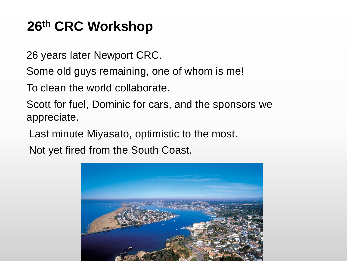# **26th CRC Workshop**

26 years later Newport CRC.

Some old guys remaining, one of whom is me!

To clean the world collaborate.

Scott for fuel, Dominic for cars, and the sponsors we appreciate.

Last minute Miyasato, optimistic to the most.

Not yet fired from the South Coast.

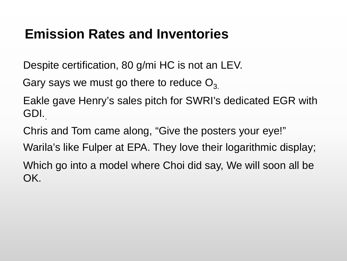### **Emission Rates and Inventories**

Despite certification, 80 g/mi HC is not an LEV.

Gary says we must go there to reduce  $O_3$ .

Eakle gave Henry's sales pitch for SWRI's dedicated EGR with GDI..

Chris and Tom came along, "Give the posters your eye!"

Warila's like Fulper at EPA. They love their logarithmic display;

Which go into a model where Choi did say, We will soon all be OK.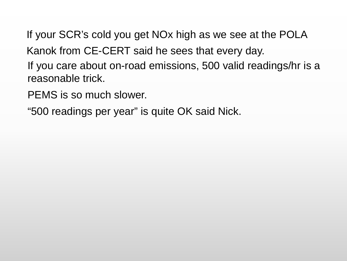If your SCR's cold you get NOx high as we see at the POLA

Kanok from CE-CERT said he sees that every day.

If you care about on-road emissions, 500 valid readings/hr is a reasonable trick.

PEMS is so much slower.

"500 readings per year" is quite OK said Nick.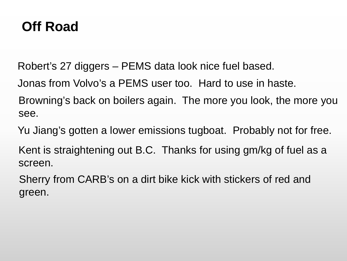## **Off Road**

Robert's 27 diggers – PEMS data look nice fuel based.

Jonas from Volvo's a PEMS user too. Hard to use in haste.

Browning's back on boilers again. The more you look, the more you see.

Yu Jiang's gotten a lower emissions tugboat. Probably not for free.

Kent is straightening out B.C. Thanks for using gm/kg of fuel as a screen.

Sherry from CARB's on a dirt bike kick with stickers of red and green.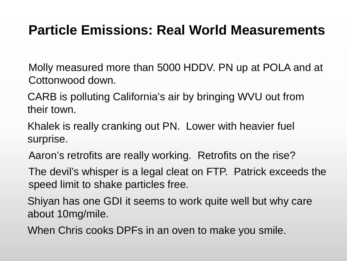## **Particle Emissions: Real World Measurements**

Molly measured more than 5000 HDDV. PN up at POLA and at Cottonwood down.

CARB is polluting California's air by bringing WVU out from their town.

Khalek is really cranking out PN. Lower with heavier fuel surprise.

Aaron's retrofits are really working. Retrofits on the rise?

The devil's whisper is a legal cleat on FTP. Patrick exceeds the speed limit to shake particles free.

Shiyan has one GDI it seems to work quite well but why care about 10mg/mile.

When Chris cooks DPFs in an oven to make you smile.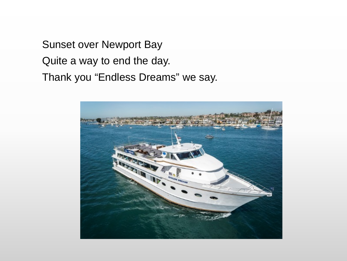Sunset over Newport Bay Quite a way to end the day. Thank you "Endless Dreams" we say.

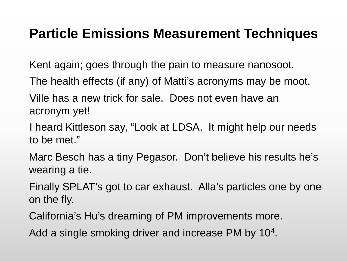#### **Particle Emissions Measurement Techniques**

Kent again; goes through the pain to measure nanosoot.

The health effects (if any) of Matti's acronyms may be moot.

Ville has a new trick for sale. Does not even have an acronym yet!

I heard Kittleson say, "Look at LDSA. It might help our needs to be met."

Marc Besch has a tiny Pegasor. Don't believe his results he's wearing a tie.

Finally SPLAT's got to car exhaust. Alla's particles one by one on the fly.

California's Hu's dreaming of PM improvements more.

Add a single smoking driver and increase PM by 10<sup>4</sup>.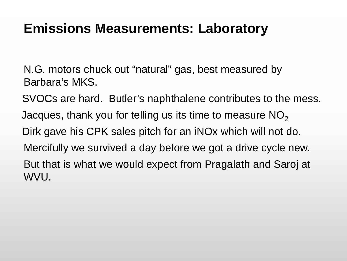#### **Emissions Measurements: Laboratory**

N.G. motors chuck out "natural" gas, best measured by Barbara's MKS.

SVOCs are hard. Butler's naphthalene contributes to the mess. Jacques, thank you for telling us its time to measure  $NO<sub>2</sub>$ Dirk gave his CPK sales pitch for an iNOx which will not do. Mercifully we survived a day before we got a drive cycle new. But that is what we would expect from Pragalath and Saroj at WVU.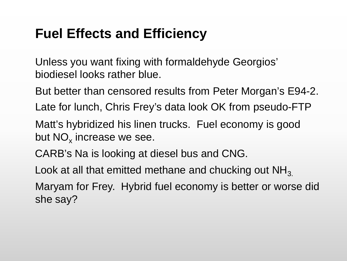# **Fuel Effects and Efficiency**

Unless you want fixing with formaldehyde Georgios' biodiesel looks rather blue.

But better than censored results from Peter Morgan's E94-2.

Late for lunch, Chris Frey's data look OK from pseudo-FTP

Matt's hybridized his linen trucks. Fuel economy is good but  $NO<sub>x</sub>$  increase we see.

CARB's Na is looking at diesel bus and CNG.

Look at all that emitted methane and chucking out  $NH<sub>3</sub>$ .

Maryam for Frey. Hybrid fuel economy is better or worse did she say?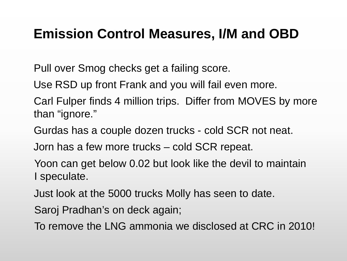### **Emission Control Measures, I/M and OBD**

Pull over Smog checks get a failing score.

Use RSD up front Frank and you will fail even more.

Carl Fulper finds 4 million trips. Differ from MOVES by more than "ignore."

Gurdas has a couple dozen trucks - cold SCR not neat.

Jorn has a few more trucks – cold SCR repeat.

Yoon can get below 0.02 but look like the devil to maintain I speculate.

Just look at the 5000 trucks Molly has seen to date.

Saroj Pradhan's on deck again;

To remove the LNG ammonia we disclosed at CRC in 2010!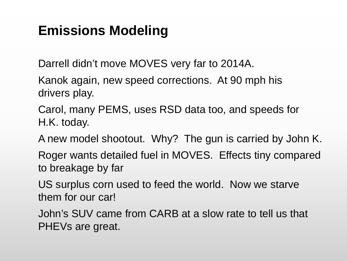## **Emissions Modeling**

Darrell didn't move MOVES very far to 2014A.

Kanok again, new speed corrections. At 90 mph his drivers play.

Carol, many PEMS, uses RSD data too, and speeds for H.K. today.

A new model shootout. Why? The gun is carried by John K.

Roger wants detailed fuel in MOVES. Effects tiny compared to breakage by far

US surplus corn used to feed the world. Now we starve them for our car!

John's SUV came from CARB at a slow rate to tell us that PHEVs are great.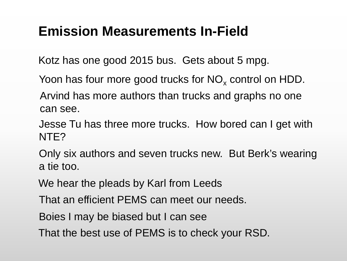## **Emission Measurements In-Field**

Kotz has one good 2015 bus. Gets about 5 mpg.

Yoon has four more good trucks for  $NO<sub>x</sub>$  control on HDD.

Arvind has more authors than trucks and graphs no one can see.

Jesse Tu has three more trucks. How bored can I get with NTE?

Only six authors and seven trucks new. But Berk's wearing a tie too.

We hear the pleads by Karl from Leeds

That an efficient PEMS can meet our needs.

Boies I may be biased but I can see

That the best use of PEMS is to check your RSD.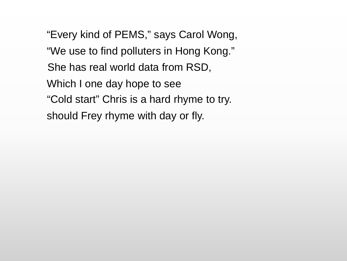"Every kind of PEMS," says Carol Wong, "We use to find polluters in Hong Kong." She has real world data from RSD, Which I one day hope to see "Cold start" Chris is a hard rhyme to try. should Frey rhyme with day or fly.